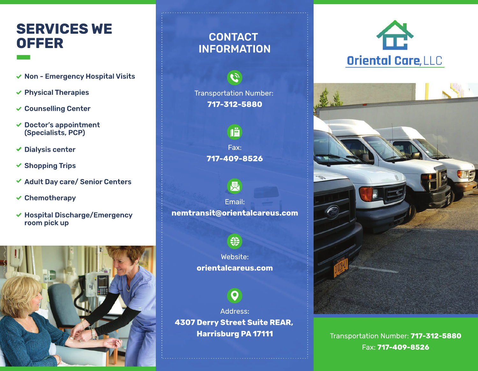### **SERVICES WE OFFER**

- $\vee$  Non Emergency Hospital Visits
- $\vee$  Physical Therapies
- Counselling Center
- $\vee$  Doctor's appointment (Specialists, PCP)
- ◆ Dialysis center
- $\checkmark$  Shopping Trips
- $\checkmark$  Adult Day care/ Senior Centers
- $\checkmark$  Chemotherapy
- $\vee$  Hospital Discharge/Emergency room pick up



### **CONTACT** INFORMATION

 $\mathbf{G}$ 

Transportation Number: **717-312-5880**

> $\sqrt{\frac{1}{2}}$ Fax: **717-409-8526**

> > 艮

Email: **nemtransit@orientalcareus.com**



Website: **orientalcareus.com**



Address: **4307 Derry Street Suite REAR, Harrisburg PA 17111**





Transportation Number: **717-312-5880** Fax: **717-409-8526**